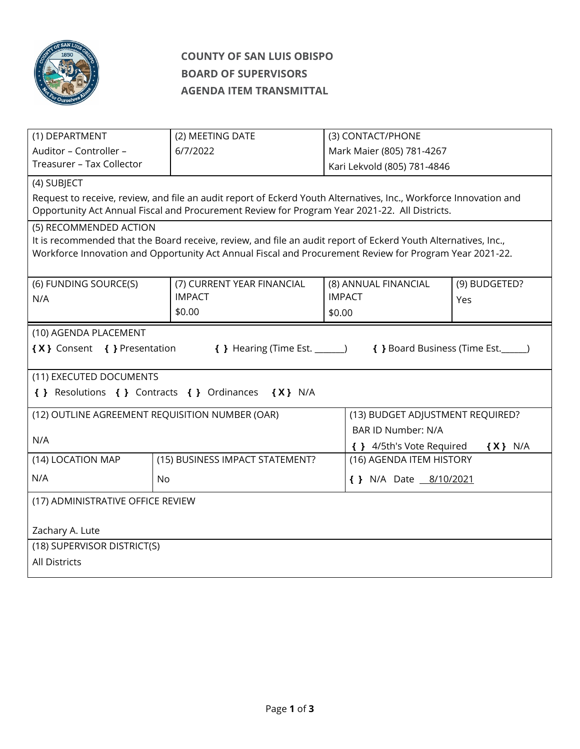

# **COUNTY OF SAN LUIS OBISPO BOARD OF SUPERVISORS AGENDA ITEM TRANSMITTAL**

| Auditor - Controller -<br>Mark Maier (805) 781-4267<br>6/7/2022<br>Treasurer - Tax Collector<br>Kari Lekvold (805) 781-4846<br>(4) SUBJECT<br>Request to receive, review, and file an audit report of Eckerd Youth Alternatives, Inc., Workforce Innovation and<br>Opportunity Act Annual Fiscal and Procurement Review for Program Year 2021-22. All Districts.<br>(5) RECOMMENDED ACTION<br>It is recommended that the Board receive, review, and file an audit report of Eckerd Youth Alternatives, Inc.,<br>Workforce Innovation and Opportunity Act Annual Fiscal and Procurement Review for Program Year 2021-22.<br>(7) CURRENT YEAR FINANCIAL<br>(8) ANNUAL FINANCIAL<br>(9) BUDGETED?<br>(6) FUNDING SOURCE(S)<br><b>IMPACT</b><br><b>IMPACT</b><br>N/A<br>Yes<br>\$0.00<br>\$0.00<br>(10) AGENDA PLACEMENT<br>{X} Consent { } Presentation<br>{ } Hearing (Time Est. _______)<br>{ } Board Business (Time Est. ______)<br>(11) EXECUTED DOCUMENTS<br>{ } Resolutions { } Contracts { } Ordinances { X } N/A<br>(12) OUTLINE AGREEMENT REQUISITION NUMBER (OAR)<br>(13) BUDGET ADJUSTMENT REQUIRED?<br><b>BAR ID Number: N/A</b><br>N/A<br>{ } 4/5th's Vote Required<br>$\{X\}$ N/A<br>(14) LOCATION MAP<br>(15) BUSINESS IMPACT STATEMENT?<br>(16) AGENDA ITEM HISTORY<br>N/A<br><b>No</b><br>{ } N/A Date 8/10/2021<br>(17) ADMINISTRATIVE OFFICE REVIEW<br>Zachary A. Lute<br>(18) SUPERVISOR DISTRICT(S) | (1) DEPARTMENT | (2) MEETING DATE |  | (3) CONTACT/PHONE |  |  |  |
|-----------------------------------------------------------------------------------------------------------------------------------------------------------------------------------------------------------------------------------------------------------------------------------------------------------------------------------------------------------------------------------------------------------------------------------------------------------------------------------------------------------------------------------------------------------------------------------------------------------------------------------------------------------------------------------------------------------------------------------------------------------------------------------------------------------------------------------------------------------------------------------------------------------------------------------------------------------------------------------------------------------------------------------------------------------------------------------------------------------------------------------------------------------------------------------------------------------------------------------------------------------------------------------------------------------------------------------------------------------------------------------------------------------------------|----------------|------------------|--|-------------------|--|--|--|
|                                                                                                                                                                                                                                                                                                                                                                                                                                                                                                                                                                                                                                                                                                                                                                                                                                                                                                                                                                                                                                                                                                                                                                                                                                                                                                                                                                                                                       |                |                  |  |                   |  |  |  |
|                                                                                                                                                                                                                                                                                                                                                                                                                                                                                                                                                                                                                                                                                                                                                                                                                                                                                                                                                                                                                                                                                                                                                                                                                                                                                                                                                                                                                       |                |                  |  |                   |  |  |  |
|                                                                                                                                                                                                                                                                                                                                                                                                                                                                                                                                                                                                                                                                                                                                                                                                                                                                                                                                                                                                                                                                                                                                                                                                                                                                                                                                                                                                                       |                |                  |  |                   |  |  |  |
|                                                                                                                                                                                                                                                                                                                                                                                                                                                                                                                                                                                                                                                                                                                                                                                                                                                                                                                                                                                                                                                                                                                                                                                                                                                                                                                                                                                                                       |                |                  |  |                   |  |  |  |
|                                                                                                                                                                                                                                                                                                                                                                                                                                                                                                                                                                                                                                                                                                                                                                                                                                                                                                                                                                                                                                                                                                                                                                                                                                                                                                                                                                                                                       |                |                  |  |                   |  |  |  |
|                                                                                                                                                                                                                                                                                                                                                                                                                                                                                                                                                                                                                                                                                                                                                                                                                                                                                                                                                                                                                                                                                                                                                                                                                                                                                                                                                                                                                       |                |                  |  |                   |  |  |  |
|                                                                                                                                                                                                                                                                                                                                                                                                                                                                                                                                                                                                                                                                                                                                                                                                                                                                                                                                                                                                                                                                                                                                                                                                                                                                                                                                                                                                                       |                |                  |  |                   |  |  |  |
|                                                                                                                                                                                                                                                                                                                                                                                                                                                                                                                                                                                                                                                                                                                                                                                                                                                                                                                                                                                                                                                                                                                                                                                                                                                                                                                                                                                                                       |                |                  |  |                   |  |  |  |
|                                                                                                                                                                                                                                                                                                                                                                                                                                                                                                                                                                                                                                                                                                                                                                                                                                                                                                                                                                                                                                                                                                                                                                                                                                                                                                                                                                                                                       |                |                  |  |                   |  |  |  |
|                                                                                                                                                                                                                                                                                                                                                                                                                                                                                                                                                                                                                                                                                                                                                                                                                                                                                                                                                                                                                                                                                                                                                                                                                                                                                                                                                                                                                       |                |                  |  |                   |  |  |  |
|                                                                                                                                                                                                                                                                                                                                                                                                                                                                                                                                                                                                                                                                                                                                                                                                                                                                                                                                                                                                                                                                                                                                                                                                                                                                                                                                                                                                                       |                |                  |  |                   |  |  |  |
|                                                                                                                                                                                                                                                                                                                                                                                                                                                                                                                                                                                                                                                                                                                                                                                                                                                                                                                                                                                                                                                                                                                                                                                                                                                                                                                                                                                                                       |                |                  |  |                   |  |  |  |
|                                                                                                                                                                                                                                                                                                                                                                                                                                                                                                                                                                                                                                                                                                                                                                                                                                                                                                                                                                                                                                                                                                                                                                                                                                                                                                                                                                                                                       |                |                  |  |                   |  |  |  |
|                                                                                                                                                                                                                                                                                                                                                                                                                                                                                                                                                                                                                                                                                                                                                                                                                                                                                                                                                                                                                                                                                                                                                                                                                                                                                                                                                                                                                       |                |                  |  |                   |  |  |  |
|                                                                                                                                                                                                                                                                                                                                                                                                                                                                                                                                                                                                                                                                                                                                                                                                                                                                                                                                                                                                                                                                                                                                                                                                                                                                                                                                                                                                                       |                |                  |  |                   |  |  |  |
|                                                                                                                                                                                                                                                                                                                                                                                                                                                                                                                                                                                                                                                                                                                                                                                                                                                                                                                                                                                                                                                                                                                                                                                                                                                                                                                                                                                                                       |                |                  |  |                   |  |  |  |
|                                                                                                                                                                                                                                                                                                                                                                                                                                                                                                                                                                                                                                                                                                                                                                                                                                                                                                                                                                                                                                                                                                                                                                                                                                                                                                                                                                                                                       |                |                  |  |                   |  |  |  |
|                                                                                                                                                                                                                                                                                                                                                                                                                                                                                                                                                                                                                                                                                                                                                                                                                                                                                                                                                                                                                                                                                                                                                                                                                                                                                                                                                                                                                       |                |                  |  |                   |  |  |  |
|                                                                                                                                                                                                                                                                                                                                                                                                                                                                                                                                                                                                                                                                                                                                                                                                                                                                                                                                                                                                                                                                                                                                                                                                                                                                                                                                                                                                                       |                |                  |  |                   |  |  |  |
|                                                                                                                                                                                                                                                                                                                                                                                                                                                                                                                                                                                                                                                                                                                                                                                                                                                                                                                                                                                                                                                                                                                                                                                                                                                                                                                                                                                                                       |                |                  |  |                   |  |  |  |
|                                                                                                                                                                                                                                                                                                                                                                                                                                                                                                                                                                                                                                                                                                                                                                                                                                                                                                                                                                                                                                                                                                                                                                                                                                                                                                                                                                                                                       |                |                  |  |                   |  |  |  |
|                                                                                                                                                                                                                                                                                                                                                                                                                                                                                                                                                                                                                                                                                                                                                                                                                                                                                                                                                                                                                                                                                                                                                                                                                                                                                                                                                                                                                       |                |                  |  |                   |  |  |  |
|                                                                                                                                                                                                                                                                                                                                                                                                                                                                                                                                                                                                                                                                                                                                                                                                                                                                                                                                                                                                                                                                                                                                                                                                                                                                                                                                                                                                                       |                |                  |  |                   |  |  |  |
|                                                                                                                                                                                                                                                                                                                                                                                                                                                                                                                                                                                                                                                                                                                                                                                                                                                                                                                                                                                                                                                                                                                                                                                                                                                                                                                                                                                                                       |                |                  |  |                   |  |  |  |
|                                                                                                                                                                                                                                                                                                                                                                                                                                                                                                                                                                                                                                                                                                                                                                                                                                                                                                                                                                                                                                                                                                                                                                                                                                                                                                                                                                                                                       |                |                  |  |                   |  |  |  |
|                                                                                                                                                                                                                                                                                                                                                                                                                                                                                                                                                                                                                                                                                                                                                                                                                                                                                                                                                                                                                                                                                                                                                                                                                                                                                                                                                                                                                       |                |                  |  |                   |  |  |  |
| All Districts                                                                                                                                                                                                                                                                                                                                                                                                                                                                                                                                                                                                                                                                                                                                                                                                                                                                                                                                                                                                                                                                                                                                                                                                                                                                                                                                                                                                         |                |                  |  |                   |  |  |  |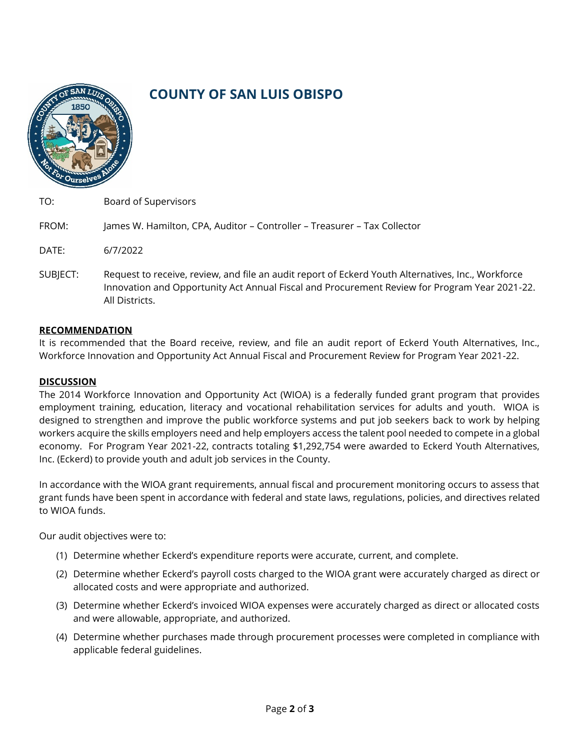

# **COUNTY OF SAN LUIS OBISPO**

| TO:      | <b>Board of Supervisors</b>                                                                                                                                                                                           |
|----------|-----------------------------------------------------------------------------------------------------------------------------------------------------------------------------------------------------------------------|
| FROM:    | James W. Hamilton, CPA, Auditor - Controller - Treasurer - Tax Collector                                                                                                                                              |
| DATE:    | 6/7/2022                                                                                                                                                                                                              |
| SUBJECT: | Request to receive, review, and file an audit report of Eckerd Youth Alternatives, Inc., Workforce<br>Innovation and Opportunity Act Annual Fiscal and Procurement Review for Program Year 2021-22.<br>All Districts. |

## **RECOMMENDATION**

It is recommended that the Board receive, review, and file an audit report of Eckerd Youth Alternatives, Inc., Workforce Innovation and Opportunity Act Annual Fiscal and Procurement Review for Program Year 2021-22.

#### **DISCUSSION**

The 2014 Workforce Innovation and Opportunity Act (WIOA) is a federally funded grant program that provides employment training, education, literacy and vocational rehabilitation services for adults and youth. WIOA is designed to strengthen and improve the public workforce systems and put job seekers back to work by helping workers acquire the skills employers need and help employers access the talent pool needed to compete in a global economy. For Program Year 2021-22, contracts totaling \$1,292,754 were awarded to Eckerd Youth Alternatives, Inc. (Eckerd) to provide youth and adult job services in the County.

In accordance with the WIOA grant requirements, annual fiscal and procurement monitoring occurs to assess that grant funds have been spent in accordance with federal and state laws, regulations, policies, and directives related to WIOA funds.

Our audit objectives were to:

- (1) Determine whether Eckerd's expenditure reports were accurate, current, and complete.
- (2) Determine whether Eckerd's payroll costs charged to the WIOA grant were accurately charged as direct or allocated costs and were appropriate and authorized.
- (3) Determine whether Eckerd's invoiced WIOA expenses were accurately charged as direct or allocated costs and were allowable, appropriate, and authorized.
- (4) Determine whether purchases made through procurement processes were completed in compliance with applicable federal guidelines.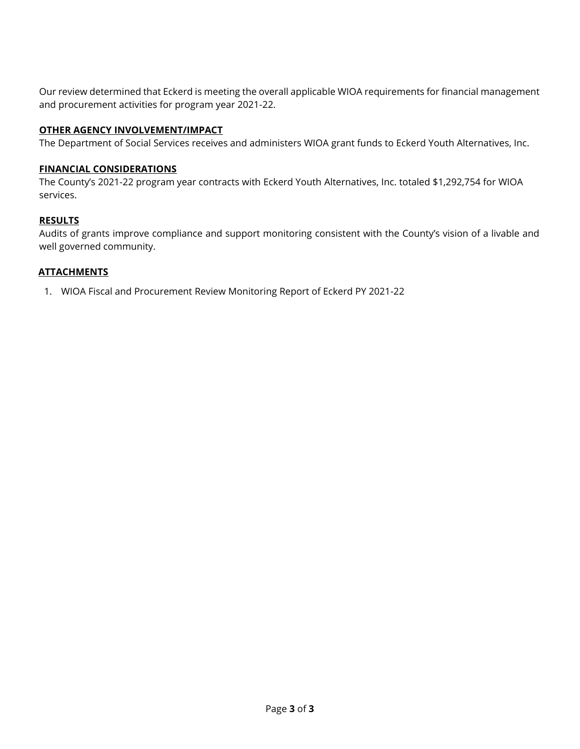Our review determined that Eckerd is meeting the overall applicable WIOA requirements for financial management and procurement activities for program year 2021-22.

# **OTHER AGENCY INVOLVEMENT/IMPACT**

The Department of Social Services receives and administers WIOA grant funds to Eckerd Youth Alternatives, Inc.

## **FINANCIAL CONSIDERATIONS**

The County's 2021-22 program year contracts with Eckerd Youth Alternatives, Inc. totaled \$1,292,754 for WIOA services.

## **RESULTS**

Audits of grants improve compliance and support monitoring consistent with the County's vision of a livable and well governed community.

## **ATTACHMENTS**

1. WIOA Fiscal and Procurement Review Monitoring Report of Eckerd PY 2021-22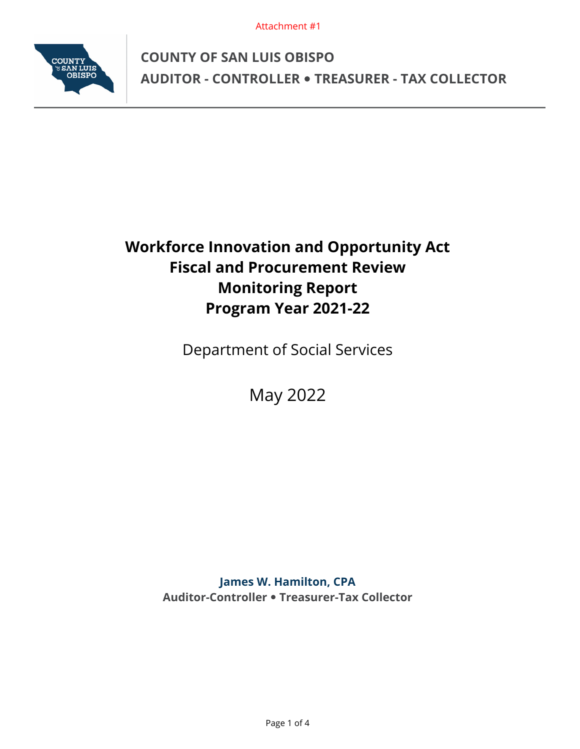Attachment #1



**COUNTY OF SAN LUIS OBISPO AUDITOR - CONTROLLER TREASURER - TAX COLLECTOR** 

# **Workforce Innovation and Opportunity Act Fiscal and Procurement Review Monitoring Report Program Year 2021-22**

Department of Social Services

May 2022

**James W. Hamilton, CPA Auditor-Controller Treasurer-Tax Collector**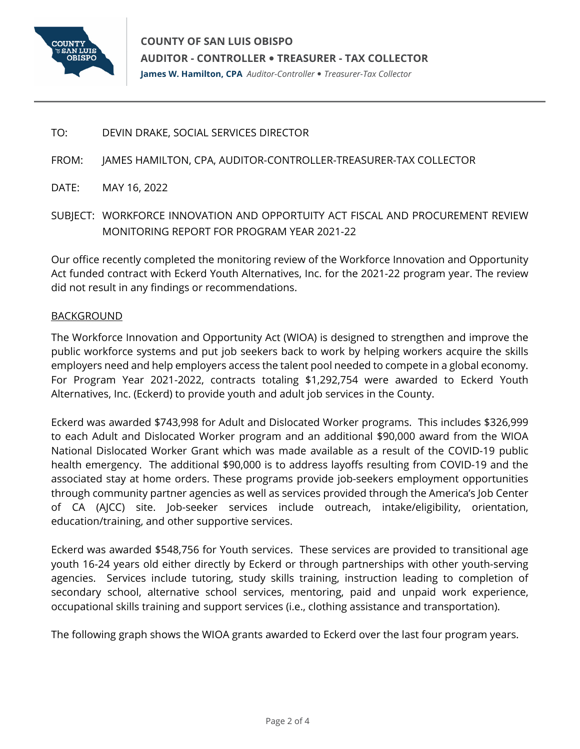

TO: DEVIN DRAKE, SOCIAL SERVICES DIRECTOR

FROM: JAMES HAMILTON, CPA, AUDITOR-CONTROLLER-TREASURER-TAX COLLECTOR

- DATE: MAY 16, 2022
- SUBJECT: WORKFORCE INNOVATION AND OPPORTUITY ACT FISCAL AND PROCUREMENT REVIEW MONITORING REPORT FOR PROGRAM YEAR 2021-22

Our office recently completed the monitoring review of the Workforce Innovation and Opportunity Act funded contract with Eckerd Youth Alternatives, Inc. for the 2021-22 program year. The review did not result in any findings or recommendations.

# BACKGROUND

The Workforce Innovation and Opportunity Act (WIOA) is designed to strengthen and improve the public workforce systems and put job seekers back to work by helping workers acquire the skills employers need and help employers access the talent pool needed to compete in a global economy. For Program Year 2021-2022, contracts totaling \$1,292,754 were awarded to Eckerd Youth Alternatives, Inc. (Eckerd) to provide youth and adult job services in the County.

Eckerd was awarded \$743,998 for Adult and Dislocated Worker programs. This includes \$326,999 to each Adult and Dislocated Worker program and an additional \$90,000 award from the WIOA National Dislocated Worker Grant which was made available as a result of the COVID-19 public health emergency. The additional \$90,000 is to address layoffs resulting from COVID-19 and the associated stay at home orders. These programs provide job-seekers employment opportunities through community partner agencies as well as services provided through the America's Job Center of CA (AJCC) site. Job-seeker services include outreach, intake/eligibility, orientation, education/training, and other supportive services.

Eckerd was awarded \$548,756 for Youth services. These services are provided to transitional age youth 16-24 years old either directly by Eckerd or through partnerships with other youth-serving agencies. Services include tutoring, study skills training, instruction leading to completion of secondary school, alternative school services, mentoring, paid and unpaid work experience, occupational skills training and support services (i.e., clothing assistance and transportation).

The following graph shows the WIOA grants awarded to Eckerd over the last four program years.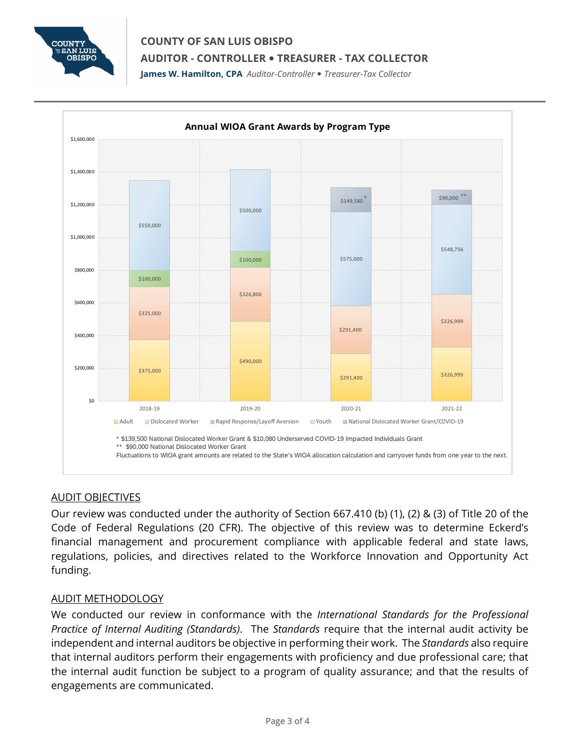

# **COUNTY OF SAN LUIS OBISPO AUDITOR - CONTROLLER TREASURER - TAX COLLECTOR**

**James W. Hamilton, CPA** *Auditor-Controller Treasurer-Tax Collector* 



# AUDIT OBJECTIVES

Our review was conducted under the authority of Section 667.410 (b) (1), (2) & (3) of Title 20 of the Code of Federal Regulations (20 CFR). The objective of this review was to determine Eckerd's financial management and procurement compliance with applicable federal and state laws, regulations, policies, and directives related to the Workforce Innovation and Opportunity Act funding.

# AUDIT METHODOLOGY

We conducted our review in conformance with the *International Standards for the Professional Practice of Internal Auditing (Standards)*. The *Standards* require that the internal audit activity be independent and internal auditors be objective in performing their work. The *Standards* also require that internal auditors perform their engagements with proficiency and due professional care; that the internal audit function be subject to a program of quality assurance; and that the results of engagements are communicated.